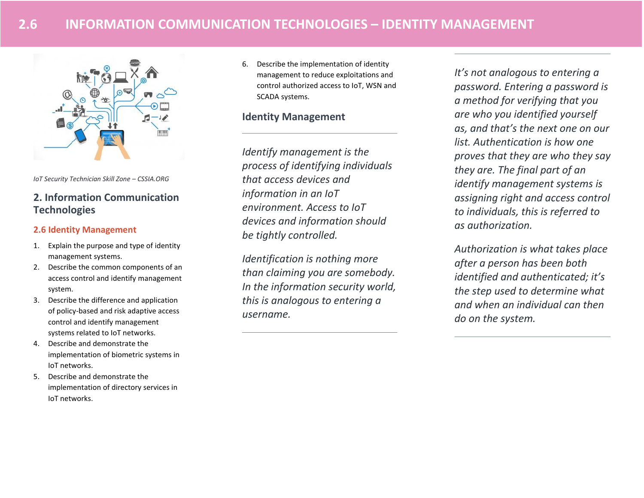

*IoT Security Technician Skill Zone – CSSIA.ORG*

# **2. Information Communication Technologies**

## **2.6 Identity Management**

- 1. Explain the purpose and type of identity management systems.
- 2. Describe the common components of an access control and identify management system.
- 3. Describe the difference and application of policy-based and risk adaptive access control and identify management systems related to IoT networks.
- 4. Describe and demonstrate the implementation of biometric systems in IoT networks.
- 5. Describe and demonstrate the implementation of directory services in IoT networks.

6. Describe the implementation of identity management to reduce exploitations and control authorized access to IoT, WSN and SCADA systems.

# **Identity Management**

*Identify management is the process of identifying individuals that access devices and information in an IoT environment. Access to IoT devices and information should be tightly controlled.* 

*Identification is nothing more than claiming you are somebody. In the information security world, this is analogous to entering a username.*

*It's not analogous to entering a password. Entering a password is a method for verifying that you are who you identified yourself as, and that's the next one on our list. Authentication is how one proves that they are who they say they are. The final part of an identify management systems is assigning right and access control to individuals, this is referred to as authorization.* 

*Authorization is what takes place after a person has been both identified and authenticated; it's the step used to determine what and when an individual can then do on the system.*